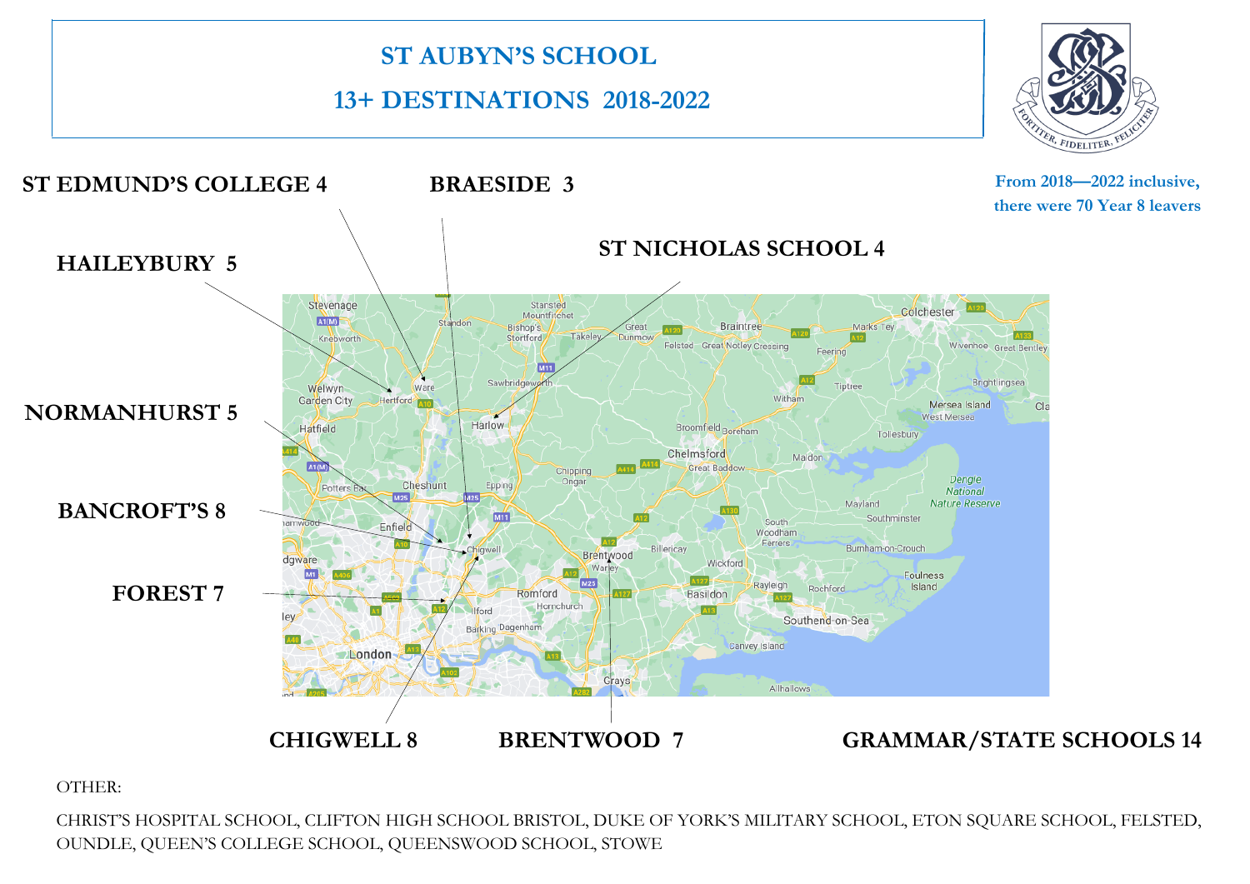

OTHER:

CHRIST'S HOSPITAL SCHOOL, CLIFTON HIGH SCHOOL BRISTOL, DUKE OF YORK'S MILITARY SCHOOL, ETON SQUARE SCHOOL, FELSTED, OUNDLE, QUEEN'S COLLEGE SCHOOL, QUEENSWOOD SCHOOL, STOWE